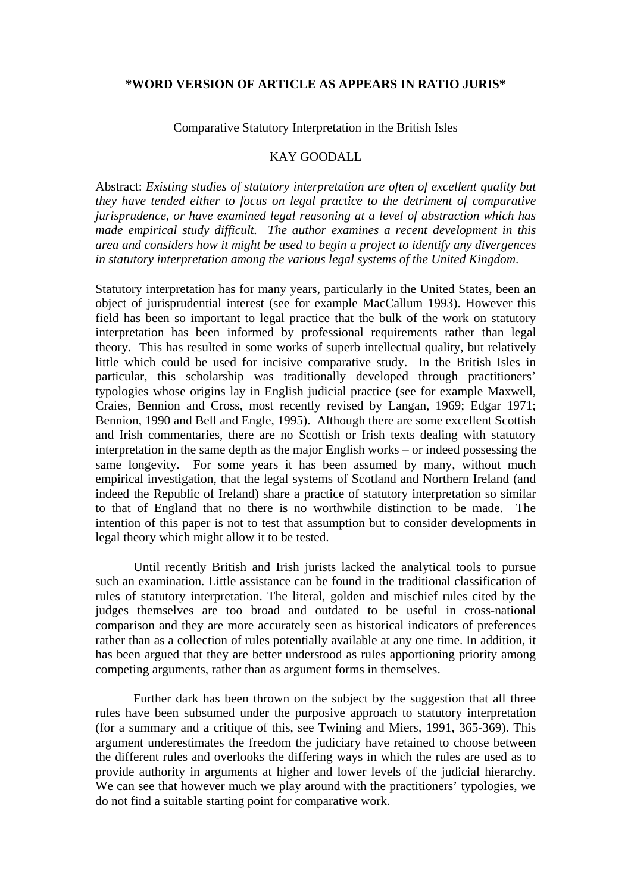#### **\*WORD VERSION OF ARTICLE AS APPEARS IN RATIO JURIS\***

Comparative Statutory Interpretation in the British Isles

### KAY GOODALL

Abstract: *Existing studies of statutory interpretation are often of excellent quality but they have tended either to focus on legal practice to the detriment of comparative jurisprudence, or have examined legal reasoning at a level of abstraction which has made empirical study difficult. The author examines a recent development in this area and considers how it might be used to begin a project to identify any divergences in statutory interpretation among the various legal systems of the United Kingdom*.

Statutory interpretation has for many years, particularly in the United States, been an object of jurisprudential interest (see for example MacCallum 1993). However this field has been so important to legal practice that the bulk of the work on statutory interpretation has been informed by professional requirements rather than legal theory. This has resulted in some works of superb intellectual quality, but relatively little which could be used for incisive comparative study. In the British Isles in particular, this scholarship was traditionally developed through practitioners' typologies whose origins lay in English judicial practice (see for example Maxwell, Craies, Bennion and Cross, most recently revised by Langan, 1969; Edgar 1971; Bennion, 1990 and Bell and Engle, 1995). Although there are some excellent Scottish and Irish commentaries, there are no Scottish or Irish texts dealing with statutory interpretation in the same depth as the major English works – or indeed possessing the same longevity. For some years it has been assumed by many, without much empirical investigation, that the legal systems of Scotland and Northern Ireland (and indeed the Republic of Ireland) share a practice of statutory interpretation so similar to that of England that no there is no worthwhile distinction to be made. The intention of this paper is not to test that assumption but to consider developments in legal theory which might allow it to be tested.

Until recently British and Irish jurists lacked the analytical tools to pursue such an examination. Little assistance can be found in the traditional classification of rules of statutory interpretation. The literal, golden and mischief rules cited by the judges themselves are too broad and outdated to be useful in cross-national comparison and they are more accurately seen as historical indicators of preferences rather than as a collection of rules potentially available at any one time. In addition, it has been argued that they are better understood as rules apportioning priority among competing arguments, rather than as argument forms in themselves.

Further dark has been thrown on the subject by the suggestion that all three rules have been subsumed under the purposive approach to statutory interpretation (for a summary and a critique of this, see Twining and Miers, 1991, 365-369). This argument underestimates the freedom the judiciary have retained to choose between the different rules and overlooks the differing ways in which the rules are used as to provide authority in arguments at higher and lower levels of the judicial hierarchy. We can see that however much we play around with the practitioners' typologies, we do not find a suitable starting point for comparative work.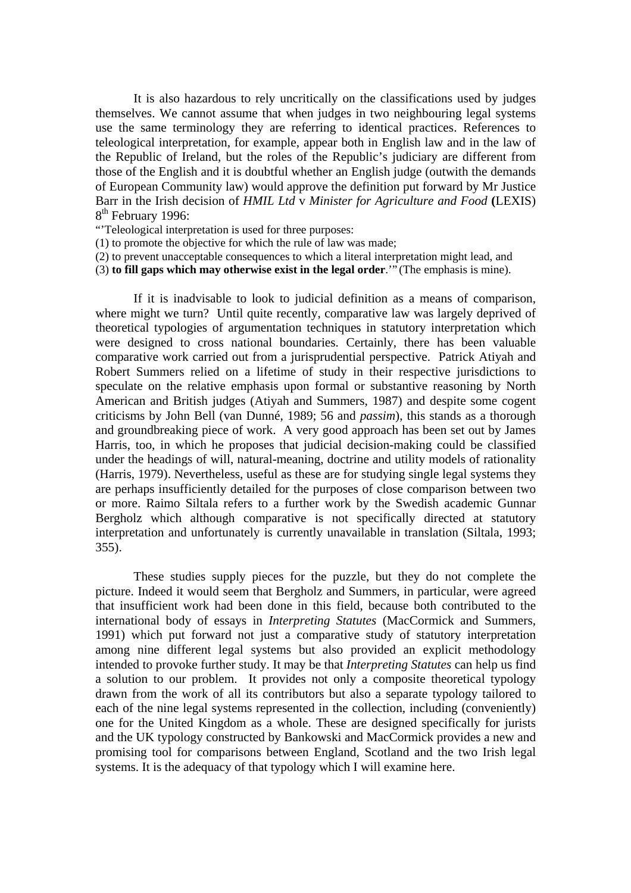It is also hazardous to rely uncritically on the classifications used by judges themselves. We cannot assume that when judges in two neighbouring legal systems use the same terminology they are referring to identical practices. References to teleological interpretation, for example, appear both in English law and in the law of the Republic of Ireland, but the roles of the Republic's judiciary are different from those of the English and it is doubtful whether an English judge (outwith the demands of European Community law) would approve the definition put forward by Mr Justice Barr in the Irish decision of *HMIL Ltd* v *Minister for Agriculture and Food* **(**LEXIS) 8<sup>th</sup> February 1996:

"'Teleological interpretation is used for three purposes:

(1) to promote the objective for which the rule of law was made;

(2) to prevent unacceptable consequences to which a literal interpretation might lead, and

(3) **to fill gaps which may otherwise exist in the legal order**.'" (The emphasis is mine).

If it is inadvisable to look to judicial definition as a means of comparison, where might we turn? Until quite recently, comparative law was largely deprived of theoretical typologies of argumentation techniques in statutory interpretation which were designed to cross national boundaries. Certainly, there has been valuable comparative work carried out from a jurisprudential perspective. Patrick Atiyah and Robert Summers relied on a lifetime of study in their respective jurisdictions to speculate on the relative emphasis upon formal or substantive reasoning by North American and British judges (Atiyah and Summers, 1987) and despite some cogent criticisms by John Bell (van Dunné, 1989; 56 and *passim*), this stands as a thorough and groundbreaking piece of work. A very good approach has been set out by James Harris, too, in which he proposes that judicial decision-making could be classified under the headings of will, natural-meaning, doctrine and utility models of rationality (Harris, 1979). Nevertheless, useful as these are for studying single legal systems they are perhaps insufficiently detailed for the purposes of close comparison between two or more. Raimo Siltala refers to a further work by the Swedish academic Gunnar Bergholz which although comparative is not specifically directed at statutory interpretation and unfortunately is currently unavailable in translation (Siltala, 1993; 355).

These studies supply pieces for the puzzle, but they do not complete the picture. Indeed it would seem that Bergholz and Summers, in particular, were agreed that insufficient work had been done in this field, because both contributed to the international body of essays in *Interpreting Statutes* (MacCormick and Summers, 1991) which put forward not just a comparative study of statutory interpretation among nine different legal systems but also provided an explicit methodology intended to provoke further study. It may be that *Interpreting Statutes* can help us find a solution to our problem. It provides not only a composite theoretical typology drawn from the work of all its contributors but also a separate typology tailored to each of the nine legal systems represented in the collection, including (conveniently) one for the United Kingdom as a whole. These are designed specifically for jurists and the UK typology constructed by Bankowski and MacCormick provides a new and promising tool for comparisons between England, Scotland and the two Irish legal systems. It is the adequacy of that typology which I will examine here.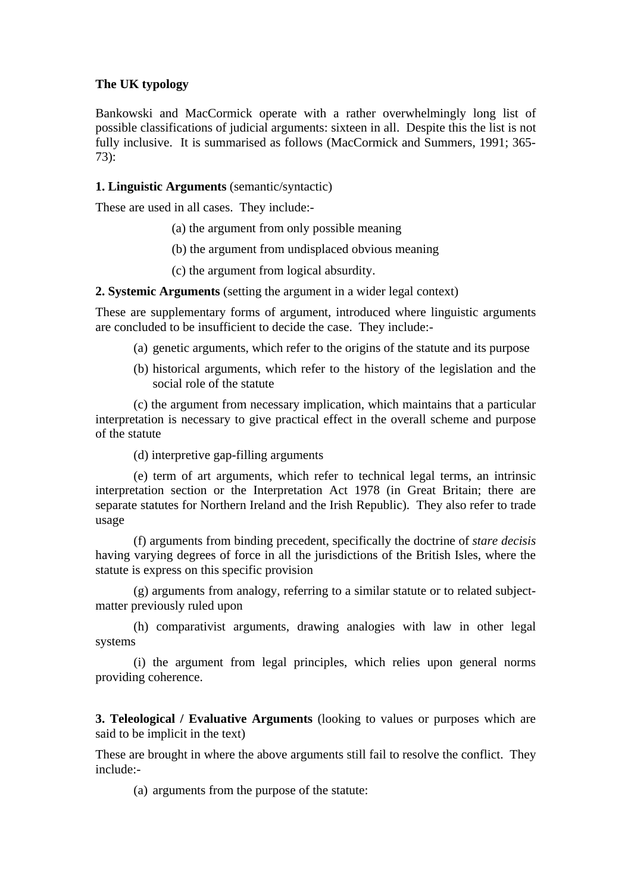# **The UK typology**

Bankowski and MacCormick operate with a rather overwhelmingly long list of possible classifications of judicial arguments: sixteen in all. Despite this the list is not fully inclusive. It is summarised as follows (MacCormick and Summers, 1991; 365- 73):

# **1. Linguistic Arguments** (semantic/syntactic)

These are used in all cases. They include:-

- (a) the argument from only possible meaning
- (b) the argument from undisplaced obvious meaning
- (c) the argument from logical absurdity.

# **2. Systemic Arguments** (setting the argument in a wider legal context)

These are supplementary forms of argument, introduced where linguistic arguments are concluded to be insufficient to decide the case. They include:-

- (a) genetic arguments, which refer to the origins of the statute and its purpose
- (b) historical arguments, which refer to the history of the legislation and the social role of the statute

(c) the argument from necessary implication, which maintains that a particular interpretation is necessary to give practical effect in the overall scheme and purpose of the statute

(d) interpretive gap-filling arguments

(e) term of art arguments, which refer to technical legal terms, an intrinsic interpretation section or the Interpretation Act 1978 (in Great Britain; there are separate statutes for Northern Ireland and the Irish Republic). They also refer to trade usage

(f) arguments from binding precedent, specifically the doctrine of *stare decisis* having varying degrees of force in all the jurisdictions of the British Isles, where the statute is express on this specific provision

(g) arguments from analogy, referring to a similar statute or to related subjectmatter previously ruled upon

(h) comparativist arguments, drawing analogies with law in other legal systems

(i) the argument from legal principles, which relies upon general norms providing coherence.

**3. Teleological / Evaluative Arguments** (looking to values or purposes which are said to be implicit in the text)

These are brought in where the above arguments still fail to resolve the conflict. They include:-

(a) arguments from the purpose of the statute: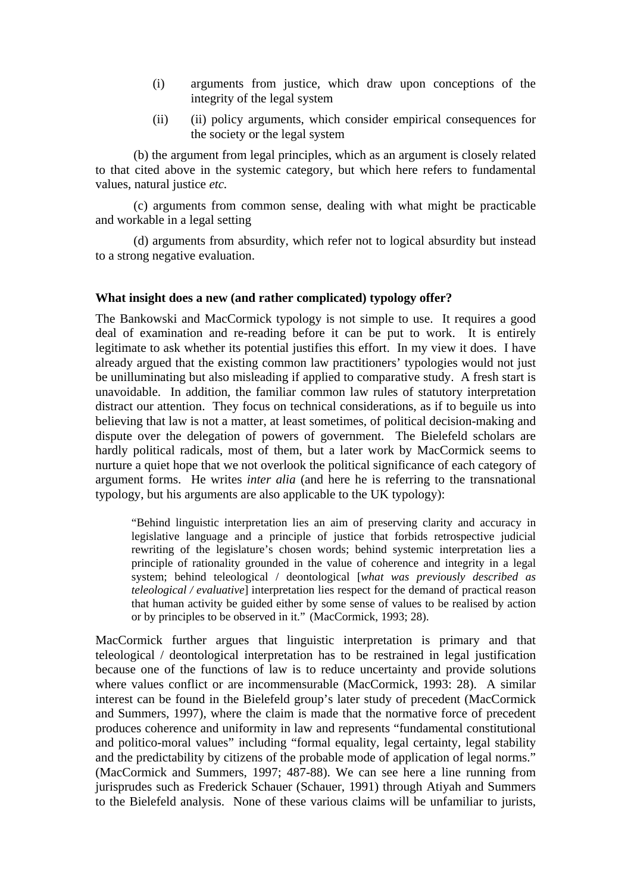- (i) arguments from justice, which draw upon conceptions of the integrity of the legal system
- (ii) (ii) policy arguments, which consider empirical consequences for the society or the legal system

(b) the argument from legal principles, which as an argument is closely related to that cited above in the systemic category, but which here refers to fundamental values, natural justice *etc.*

(c) arguments from common sense, dealing with what might be practicable and workable in a legal setting

(d) arguments from absurdity, which refer not to logical absurdity but instead to a strong negative evaluation.

#### **What insight does a new (and rather complicated) typology offer?**

The Bankowski and MacCormick typology is not simple to use. It requires a good deal of examination and re-reading before it can be put to work. It is entirely legitimate to ask whether its potential justifies this effort. In my view it does. I have already argued that the existing common law practitioners' typologies would not just be unilluminating but also misleading if applied to comparative study. A fresh start is unavoidable. In addition, the familiar common law rules of statutory interpretation distract our attention. They focus on technical considerations, as if to beguile us into believing that law is not a matter, at least sometimes, of political decision-making and dispute over the delegation of powers of government. The Bielefeld scholars are hardly political radicals, most of them, but a later work by MacCormick seems to nurture a quiet hope that we not overlook the political significance of each category of argument forms. He writes *inter alia* (and here he is referring to the transnational typology, but his arguments are also applicable to the UK typology):

"Behind linguistic interpretation lies an aim of preserving clarity and accuracy in legislative language and a principle of justice that forbids retrospective judicial rewriting of the legislature's chosen words; behind systemic interpretation lies a principle of rationality grounded in the value of coherence and integrity in a legal system; behind teleological / deontological [*what was previously described as teleological / evaluative*] interpretation lies respect for the demand of practical reason that human activity be guided either by some sense of values to be realised by action or by principles to be observed in it." (MacCormick, 1993; 28).

MacCormick further argues that linguistic interpretation is primary and that teleological / deontological interpretation has to be restrained in legal justification because one of the functions of law is to reduce uncertainty and provide solutions where values conflict or are incommensurable (MacCormick, 1993: 28). A similar interest can be found in the Bielefeld group's later study of precedent (MacCormick and Summers, 1997), where the claim is made that the normative force of precedent produces coherence and uniformity in law and represents "fundamental constitutional and politico-moral values" including "formal equality, legal certainty, legal stability and the predictability by citizens of the probable mode of application of legal norms." (MacCormick and Summers, 1997; 487-88). We can see here a line running from jurisprudes such as Frederick Schauer (Schauer, 1991) through Atiyah and Summers to the Bielefeld analysis. None of these various claims will be unfamiliar to jurists,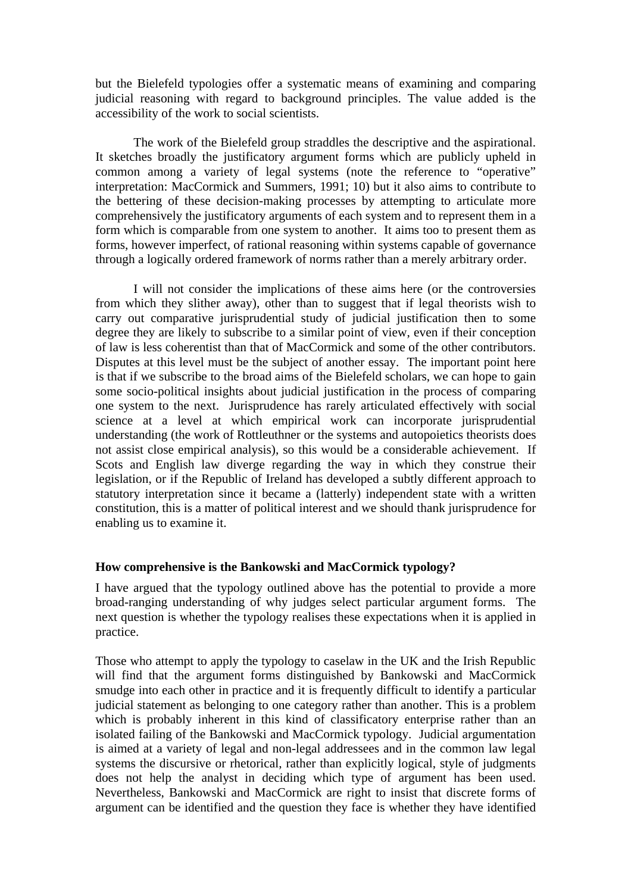but the Bielefeld typologies offer a systematic means of examining and comparing judicial reasoning with regard to background principles. The value added is the accessibility of the work to social scientists.

The work of the Bielefeld group straddles the descriptive and the aspirational. It sketches broadly the justificatory argument forms which are publicly upheld in common among a variety of legal systems (note the reference to "operative" interpretation: MacCormick and Summers, 1991; 10) but it also aims to contribute to the bettering of these decision-making processes by attempting to articulate more comprehensively the justificatory arguments of each system and to represent them in a form which is comparable from one system to another. It aims too to present them as forms, however imperfect, of rational reasoning within systems capable of governance through a logically ordered framework of norms rather than a merely arbitrary order.

I will not consider the implications of these aims here (or the controversies from which they slither away), other than to suggest that if legal theorists wish to carry out comparative jurisprudential study of judicial justification then to some degree they are likely to subscribe to a similar point of view, even if their conception of law is less coherentist than that of MacCormick and some of the other contributors. Disputes at this level must be the subject of another essay. The important point here is that if we subscribe to the broad aims of the Bielefeld scholars, we can hope to gain some socio-political insights about judicial justification in the process of comparing one system to the next. Jurisprudence has rarely articulated effectively with social science at a level at which empirical work can incorporate jurisprudential understanding (the work of Rottleuthner or the systems and autopoietics theorists does not assist close empirical analysis), so this would be a considerable achievement. If Scots and English law diverge regarding the way in which they construe their legislation, or if the Republic of Ireland has developed a subtly different approach to statutory interpretation since it became a (latterly) independent state with a written constitution, this is a matter of political interest and we should thank jurisprudence for enabling us to examine it.

### **How comprehensive is the Bankowski and MacCormick typology?**

I have argued that the typology outlined above has the potential to provide a more broad-ranging understanding of why judges select particular argument forms. The next question is whether the typology realises these expectations when it is applied in practice.

Those who attempt to apply the typology to caselaw in the UK and the Irish Republic will find that the argument forms distinguished by Bankowski and MacCormick smudge into each other in practice and it is frequently difficult to identify a particular judicial statement as belonging to one category rather than another. This is a problem which is probably inherent in this kind of classificatory enterprise rather than an isolated failing of the Bankowski and MacCormick typology. Judicial argumentation is aimed at a variety of legal and non-legal addressees and in the common law legal systems the discursive or rhetorical, rather than explicitly logical, style of judgments does not help the analyst in deciding which type of argument has been used. Nevertheless, Bankowski and MacCormick are right to insist that discrete forms of argument can be identified and the question they face is whether they have identified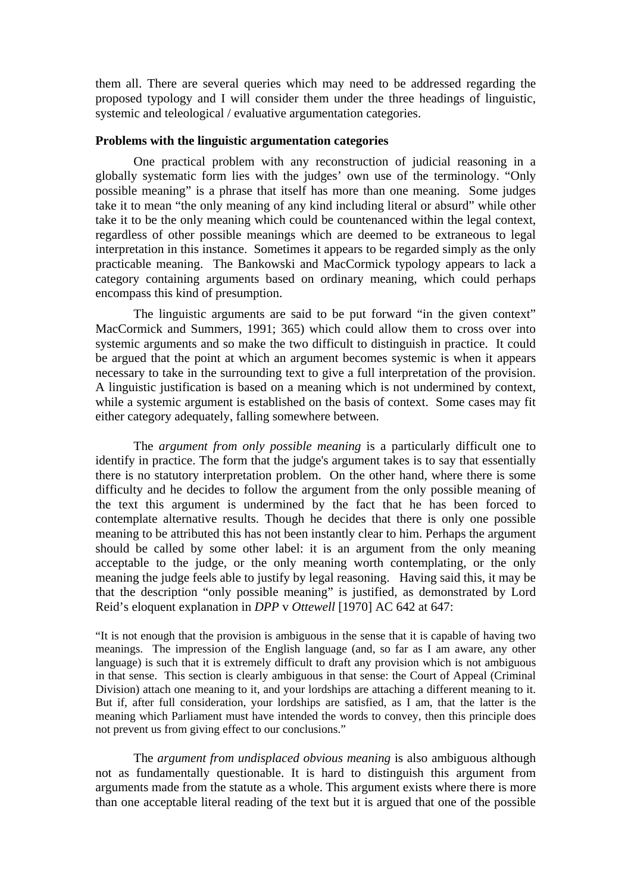them all. There are several queries which may need to be addressed regarding the proposed typology and I will consider them under the three headings of linguistic, systemic and teleological / evaluative argumentation categories.

### **Problems with the linguistic argumentation categories**

One practical problem with any reconstruction of judicial reasoning in a globally systematic form lies with the judges' own use of the terminology. "Only possible meaning" is a phrase that itself has more than one meaning. Some judges take it to mean "the only meaning of any kind including literal or absurd" while other take it to be the only meaning which could be countenanced within the legal context, regardless of other possible meanings which are deemed to be extraneous to legal interpretation in this instance. Sometimes it appears to be regarded simply as the only practicable meaning. The Bankowski and MacCormick typology appears to lack a category containing arguments based on ordinary meaning, which could perhaps encompass this kind of presumption.

The linguistic arguments are said to be put forward "in the given context" MacCormick and Summers, 1991; 365) which could allow them to cross over into systemic arguments and so make the two difficult to distinguish in practice. It could be argued that the point at which an argument becomes systemic is when it appears necessary to take in the surrounding text to give a full interpretation of the provision. A linguistic justification is based on a meaning which is not undermined by context, while a systemic argument is established on the basis of context. Some cases may fit either category adequately, falling somewhere between.

The *argument from only possible meaning* is a particularly difficult one to identify in practice. The form that the judge's argument takes is to say that essentially there is no statutory interpretation problem. On the other hand, where there is some difficulty and he decides to follow the argument from the only possible meaning of the text this argument is undermined by the fact that he has been forced to contemplate alternative results. Though he decides that there is only one possible meaning to be attributed this has not been instantly clear to him. Perhaps the argument should be called by some other label: it is an argument from the only meaning acceptable to the judge, or the only meaning worth contemplating, or the only meaning the judge feels able to justify by legal reasoning. Having said this, it may be that the description "only possible meaning" is justified, as demonstrated by Lord Reid's eloquent explanation in *DPP* v *Ottewell* [1970] AC 642 at 647:

"It is not enough that the provision is ambiguous in the sense that it is capable of having two meanings. The impression of the English language (and, so far as I am aware, any other language) is such that it is extremely difficult to draft any provision which is not ambiguous in that sense. This section is clearly ambiguous in that sense: the Court of Appeal (Criminal Division) attach one meaning to it, and your lordships are attaching a different meaning to it. But if, after full consideration, your lordships are satisfied, as I am, that the latter is the meaning which Parliament must have intended the words to convey, then this principle does not prevent us from giving effect to our conclusions."

The *argument from undisplaced obvious meaning* is also ambiguous although not as fundamentally questionable. It is hard to distinguish this argument from arguments made from the statute as a whole. This argument exists where there is more than one acceptable literal reading of the text but it is argued that one of the possible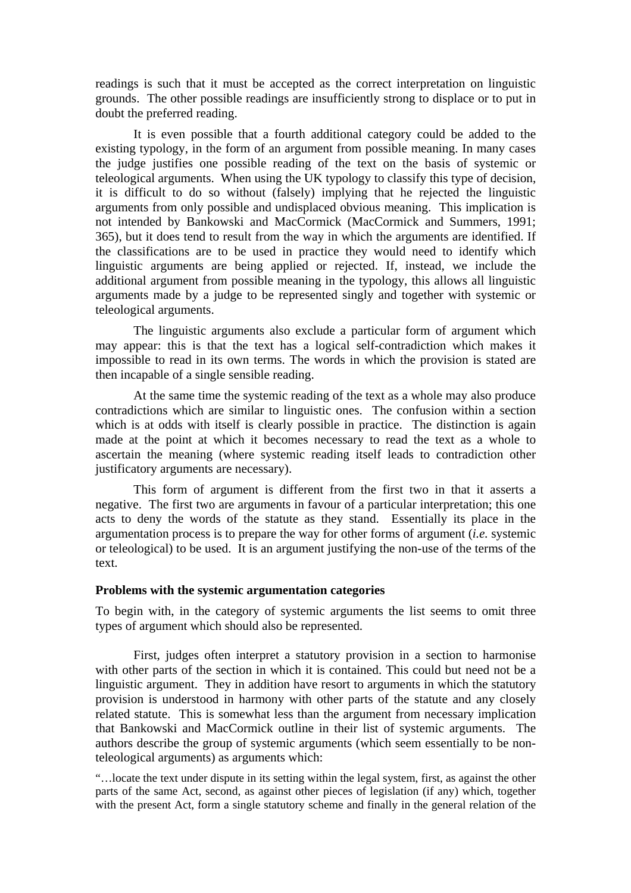readings is such that it must be accepted as the correct interpretation on linguistic grounds. The other possible readings are insufficiently strong to displace or to put in doubt the preferred reading.

It is even possible that a fourth additional category could be added to the existing typology, in the form of an argument from possible meaning. In many cases the judge justifies one possible reading of the text on the basis of systemic or teleological arguments. When using the UK typology to classify this type of decision, it is difficult to do so without (falsely) implying that he rejected the linguistic arguments from only possible and undisplaced obvious meaning. This implication is not intended by Bankowski and MacCormick (MacCormick and Summers, 1991; 365), but it does tend to result from the way in which the arguments are identified. If the classifications are to be used in practice they would need to identify which linguistic arguments are being applied or rejected. If, instead, we include the additional argument from possible meaning in the typology, this allows all linguistic arguments made by a judge to be represented singly and together with systemic or teleological arguments.

The linguistic arguments also exclude a particular form of argument which may appear: this is that the text has a logical self-contradiction which makes it impossible to read in its own terms. The words in which the provision is stated are then incapable of a single sensible reading.

At the same time the systemic reading of the text as a whole may also produce contradictions which are similar to linguistic ones. The confusion within a section which is at odds with itself is clearly possible in practice. The distinction is again made at the point at which it becomes necessary to read the text as a whole to ascertain the meaning (where systemic reading itself leads to contradiction other justificatory arguments are necessary).

This form of argument is different from the first two in that it asserts a negative. The first two are arguments in favour of a particular interpretation; this one acts to deny the words of the statute as they stand. Essentially its place in the argumentation process is to prepare the way for other forms of argument (*i.e.* systemic or teleological) to be used. It is an argument justifying the non-use of the terms of the text.

## **Problems with the systemic argumentation categories**

To begin with, in the category of systemic arguments the list seems to omit three types of argument which should also be represented.

First, judges often interpret a statutory provision in a section to harmonise with other parts of the section in which it is contained. This could but need not be a linguistic argument. They in addition have resort to arguments in which the statutory provision is understood in harmony with other parts of the statute and any closely related statute. This is somewhat less than the argument from necessary implication that Bankowski and MacCormick outline in their list of systemic arguments. The authors describe the group of systemic arguments (which seem essentially to be nonteleological arguments) as arguments which:

"…locate the text under dispute in its setting within the legal system, first, as against the other parts of the same Act, second, as against other pieces of legislation (if any) which, together with the present Act, form a single statutory scheme and finally in the general relation of the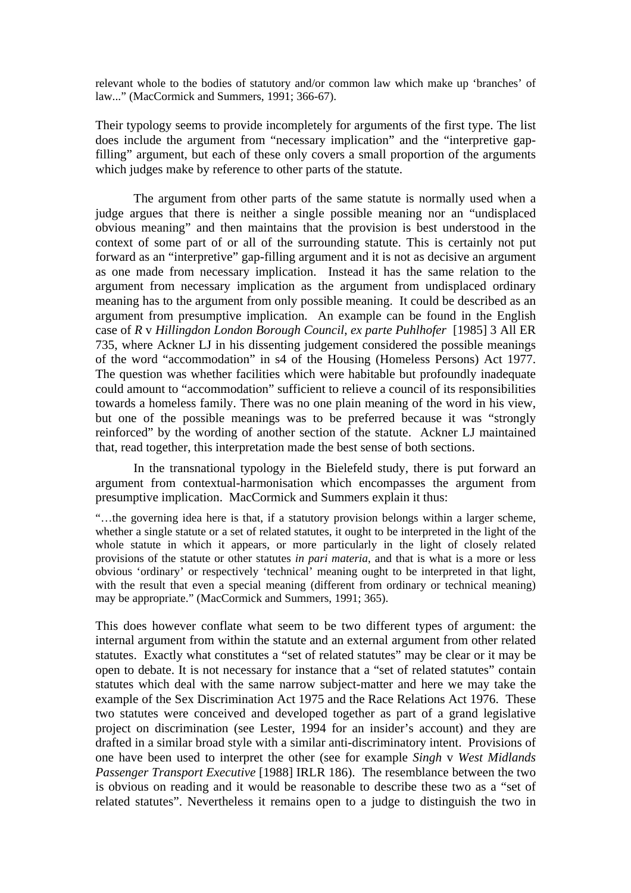relevant whole to the bodies of statutory and/or common law which make up 'branches' of law..." (MacCormick and Summers, 1991; 366-67).

Their typology seems to provide incompletely for arguments of the first type. The list does include the argument from "necessary implication" and the "interpretive gapfilling" argument, but each of these only covers a small proportion of the arguments which judges make by reference to other parts of the statute.

The argument from other parts of the same statute is normally used when a judge argues that there is neither a single possible meaning nor an "undisplaced obvious meaning" and then maintains that the provision is best understood in the context of some part of or all of the surrounding statute. This is certainly not put forward as an "interpretive" gap-filling argument and it is not as decisive an argument as one made from necessary implication. Instead it has the same relation to the argument from necessary implication as the argument from undisplaced ordinary meaning has to the argument from only possible meaning. It could be described as an argument from presumptive implication. An example can be found in the English case of *R* v *Hillingdon London Borough Council*, *ex parte Puhlhofer* [1985] 3 All ER 735, where Ackner LJ in his dissenting judgement considered the possible meanings of the word "accommodation" in s4 of the Housing (Homeless Persons) Act 1977. The question was whether facilities which were habitable but profoundly inadequate could amount to "accommodation" sufficient to relieve a council of its responsibilities towards a homeless family. There was no one plain meaning of the word in his view, but one of the possible meanings was to be preferred because it was "strongly reinforced" by the wording of another section of the statute. Ackner LJ maintained that, read together, this interpretation made the best sense of both sections.

In the transnational typology in the Bielefeld study, there is put forward an argument from contextual-harmonisation which encompasses the argument from presumptive implication. MacCormick and Summers explain it thus:

"…the governing idea here is that, if a statutory provision belongs within a larger scheme, whether a single statute or a set of related statutes, it ought to be interpreted in the light of the whole statute in which it appears, or more particularly in the light of closely related provisions of the statute or other statutes *in pari materia*, and that is what is a more or less obvious 'ordinary' or respectively 'technical' meaning ought to be interpreted in that light, with the result that even a special meaning (different from ordinary or technical meaning) may be appropriate." (MacCormick and Summers, 1991; 365).

This does however conflate what seem to be two different types of argument: the internal argument from within the statute and an external argument from other related statutes. Exactly what constitutes a "set of related statutes" may be clear or it may be open to debate. It is not necessary for instance that a "set of related statutes" contain statutes which deal with the same narrow subject-matter and here we may take the example of the Sex Discrimination Act 1975 and the Race Relations Act 1976. These two statutes were conceived and developed together as part of a grand legislative project on discrimination (see Lester, 1994 for an insider's account) and they are drafted in a similar broad style with a similar anti-discriminatory intent. Provisions of one have been used to interpret the other (see for example *Singh* v *West Midlands Passenger Transport Executive* [1988] IRLR 186). The resemblance between the two is obvious on reading and it would be reasonable to describe these two as a "set of related statutes". Nevertheless it remains open to a judge to distinguish the two in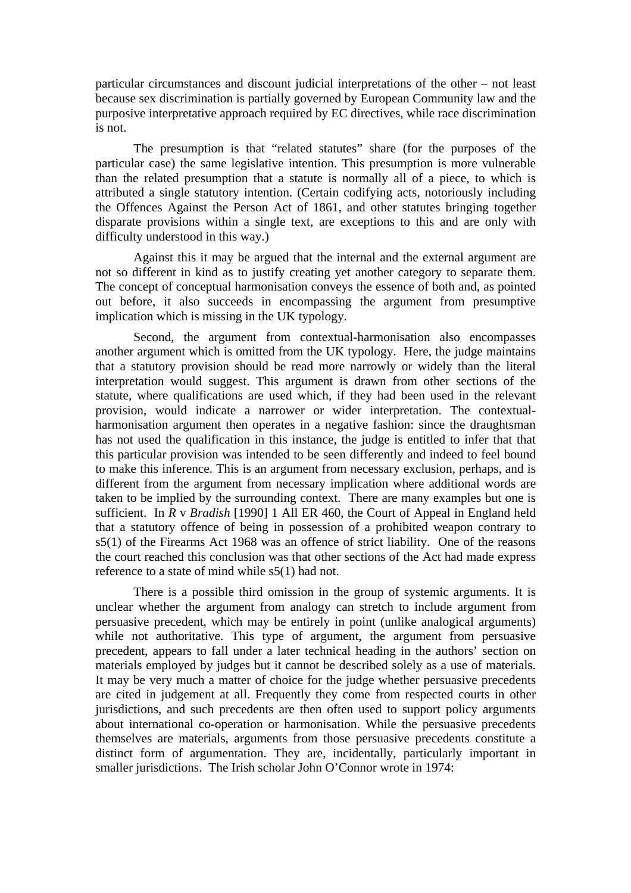particular circumstances and discount judicial interpretations of the other – not least because sex discrimination is partially governed by European Community law and the purposive interpretative approach required by EC directives, while race discrimination is not.

The presumption is that "related statutes" share (for the purposes of the particular case) the same legislative intention. This presumption is more vulnerable than the related presumption that a statute is normally all of a piece, to which is attributed a single statutory intention. (Certain codifying acts, notoriously including the Offences Against the Person Act of 1861, and other statutes bringing together disparate provisions within a single text, are exceptions to this and are only with difficulty understood in this way.)

Against this it may be argued that the internal and the external argument are not so different in kind as to justify creating yet another category to separate them. The concept of conceptual harmonisation conveys the essence of both and, as pointed out before, it also succeeds in encompassing the argument from presumptive implication which is missing in the UK typology.

Second, the argument from contextual-harmonisation also encompasses another argument which is omitted from the UK typology. Here, the judge maintains that a statutory provision should be read more narrowly or widely than the literal interpretation would suggest. This argument is drawn from other sections of the statute, where qualifications are used which, if they had been used in the relevant provision, would indicate a narrower or wider interpretation. The contextualharmonisation argument then operates in a negative fashion: since the draughtsman has not used the qualification in this instance, the judge is entitled to infer that that this particular provision was intended to be seen differently and indeed to feel bound to make this inference. This is an argument from necessary exclusion, perhaps, and is different from the argument from necessary implication where additional words are taken to be implied by the surrounding context. There are many examples but one is sufficient. In *R* v *Bradish* [1990] 1 All ER 460, the Court of Appeal in England held that a statutory offence of being in possession of a prohibited weapon contrary to s5(1) of the Firearms Act 1968 was an offence of strict liability. One of the reasons the court reached this conclusion was that other sections of the Act had made express reference to a state of mind while s5(1) had not.

There is a possible third omission in the group of systemic arguments. It is unclear whether the argument from analogy can stretch to include argument from persuasive precedent, which may be entirely in point (unlike analogical arguments) while not authoritative. This type of argument, the argument from persuasive precedent, appears to fall under a later technical heading in the authors' section on materials employed by judges but it cannot be described solely as a use of materials. It may be very much a matter of choice for the judge whether persuasive precedents are cited in judgement at all. Frequently they come from respected courts in other jurisdictions, and such precedents are then often used to support policy arguments about international co-operation or harmonisation. While the persuasive precedents themselves are materials, arguments from those persuasive precedents constitute a distinct form of argumentation. They are, incidentally, particularly important in smaller jurisdictions. The Irish scholar John O'Connor wrote in 1974: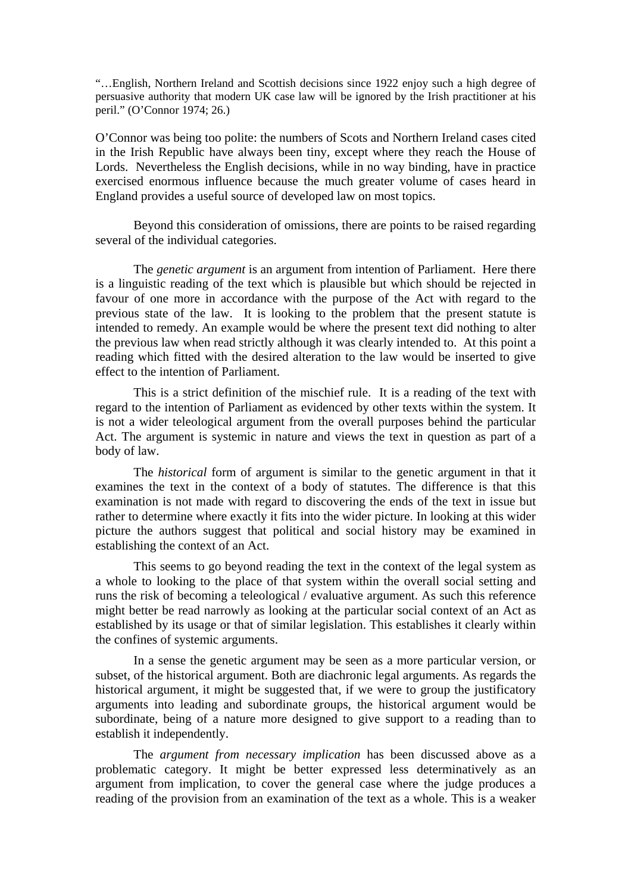"…English, Northern Ireland and Scottish decisions since 1922 enjoy such a high degree of persuasive authority that modern UK case law will be ignored by the Irish practitioner at his peril." (O'Connor 1974; 26.)

O'Connor was being too polite: the numbers of Scots and Northern Ireland cases cited in the Irish Republic have always been tiny, except where they reach the House of Lords. Nevertheless the English decisions, while in no way binding, have in practice exercised enormous influence because the much greater volume of cases heard in England provides a useful source of developed law on most topics.

 Beyond this consideration of omissions, there are points to be raised regarding several of the individual categories.

The *genetic argument* is an argument from intention of Parliament. Here there is a linguistic reading of the text which is plausible but which should be rejected in favour of one more in accordance with the purpose of the Act with regard to the previous state of the law. It is looking to the problem that the present statute is intended to remedy. An example would be where the present text did nothing to alter the previous law when read strictly although it was clearly intended to. At this point a reading which fitted with the desired alteration to the law would be inserted to give effect to the intention of Parliament.

This is a strict definition of the mischief rule. It is a reading of the text with regard to the intention of Parliament as evidenced by other texts within the system. It is not a wider teleological argument from the overall purposes behind the particular Act. The argument is systemic in nature and views the text in question as part of a body of law.

The *historical* form of argument is similar to the genetic argument in that it examines the text in the context of a body of statutes. The difference is that this examination is not made with regard to discovering the ends of the text in issue but rather to determine where exactly it fits into the wider picture. In looking at this wider picture the authors suggest that political and social history may be examined in establishing the context of an Act.

This seems to go beyond reading the text in the context of the legal system as a whole to looking to the place of that system within the overall social setting and runs the risk of becoming a teleological / evaluative argument. As such this reference might better be read narrowly as looking at the particular social context of an Act as established by its usage or that of similar legislation. This establishes it clearly within the confines of systemic arguments.

In a sense the genetic argument may be seen as a more particular version, or subset, of the historical argument. Both are diachronic legal arguments. As regards the historical argument, it might be suggested that, if we were to group the justificatory arguments into leading and subordinate groups, the historical argument would be subordinate, being of a nature more designed to give support to a reading than to establish it independently.

The *argument from necessary implication* has been discussed above as a problematic category. It might be better expressed less determinatively as an argument from implication, to cover the general case where the judge produces a reading of the provision from an examination of the text as a whole. This is a weaker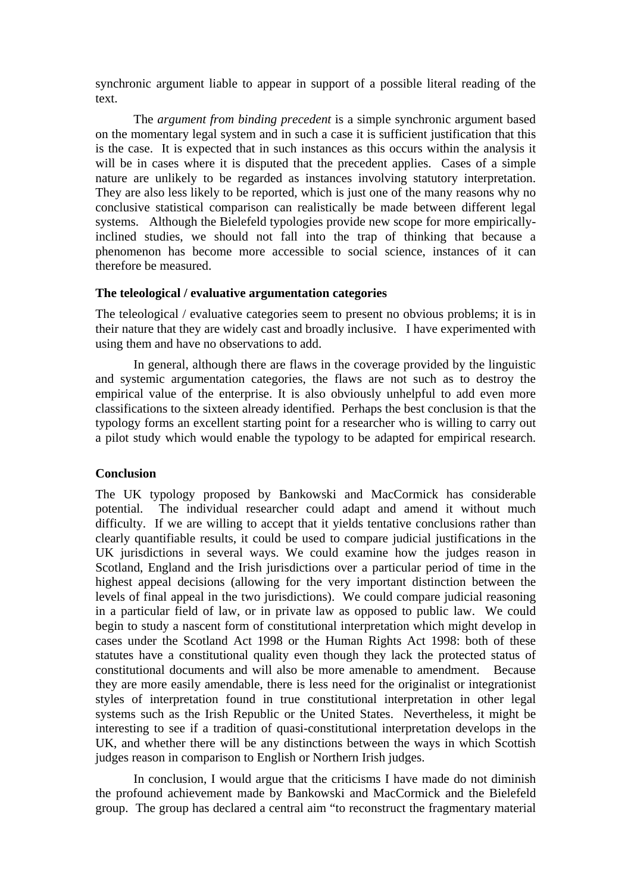synchronic argument liable to appear in support of a possible literal reading of the text.

The *argument from binding precedent* is a simple synchronic argument based on the momentary legal system and in such a case it is sufficient justification that this is the case. It is expected that in such instances as this occurs within the analysis it will be in cases where it is disputed that the precedent applies. Cases of a simple nature are unlikely to be regarded as instances involving statutory interpretation. They are also less likely to be reported, which is just one of the many reasons why no conclusive statistical comparison can realistically be made between different legal systems. Although the Bielefeld typologies provide new scope for more empiricallyinclined studies, we should not fall into the trap of thinking that because a phenomenon has become more accessible to social science, instances of it can therefore be measured.

### **The teleological / evaluative argumentation categories**

The teleological / evaluative categories seem to present no obvious problems; it is in their nature that they are widely cast and broadly inclusive. I have experimented with using them and have no observations to add.

In general, although there are flaws in the coverage provided by the linguistic and systemic argumentation categories, the flaws are not such as to destroy the empirical value of the enterprise. It is also obviously unhelpful to add even more classifications to the sixteen already identified. Perhaps the best conclusion is that the typology forms an excellent starting point for a researcher who is willing to carry out a pilot study which would enable the typology to be adapted for empirical research.

#### **Conclusion**

The UK typology proposed by Bankowski and MacCormick has considerable potential. The individual researcher could adapt and amend it without much difficulty. If we are willing to accept that it yields tentative conclusions rather than clearly quantifiable results, it could be used to compare judicial justifications in the UK jurisdictions in several ways. We could examine how the judges reason in Scotland, England and the Irish jurisdictions over a particular period of time in the highest appeal decisions (allowing for the very important distinction between the levels of final appeal in the two jurisdictions). We could compare judicial reasoning in a particular field of law, or in private law as opposed to public law. We could begin to study a nascent form of constitutional interpretation which might develop in cases under the Scotland Act 1998 or the Human Rights Act 1998: both of these statutes have a constitutional quality even though they lack the protected status of constitutional documents and will also be more amenable to amendment. Because they are more easily amendable, there is less need for the originalist or integrationist styles of interpretation found in true constitutional interpretation in other legal systems such as the Irish Republic or the United States. Nevertheless, it might be interesting to see if a tradition of quasi-constitutional interpretation develops in the UK, and whether there will be any distinctions between the ways in which Scottish judges reason in comparison to English or Northern Irish judges.

In conclusion, I would argue that the criticisms I have made do not diminish the profound achievement made by Bankowski and MacCormick and the Bielefeld group. The group has declared a central aim "to reconstruct the fragmentary material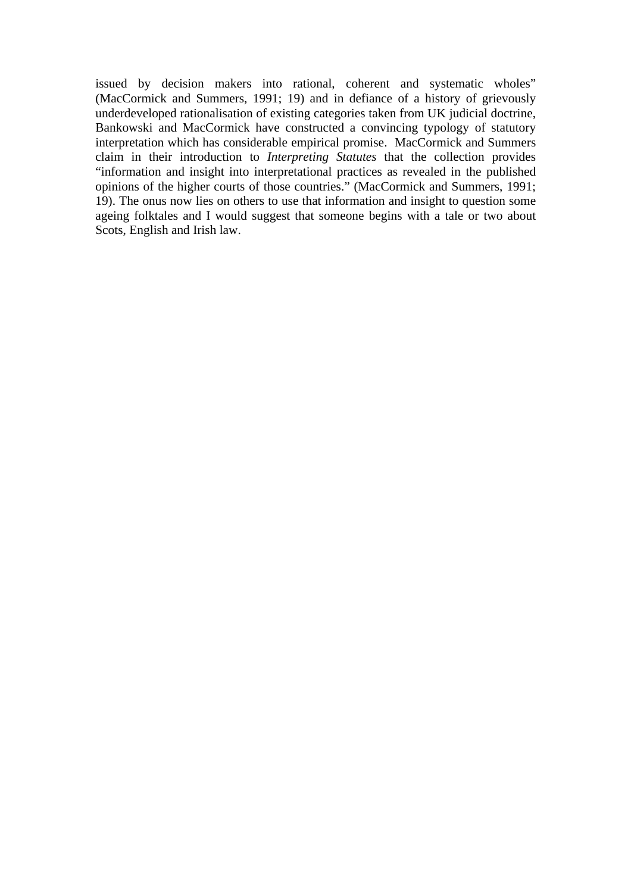issued by decision makers into rational, coherent and systematic wholes" (MacCormick and Summers, 1991; 19) and in defiance of a history of grievously underdeveloped rationalisation of existing categories taken from UK judicial doctrine, Bankowski and MacCormick have constructed a convincing typology of statutory interpretation which has considerable empirical promise. MacCormick and Summers claim in their introduction to *Interpreting Statutes* that the collection provides "information and insight into interpretational practices as revealed in the published opinions of the higher courts of those countries." (MacCormick and Summers, 1991; 19). The onus now lies on others to use that information and insight to question some ageing folktales and I would suggest that someone begins with a tale or two about Scots, English and Irish law.